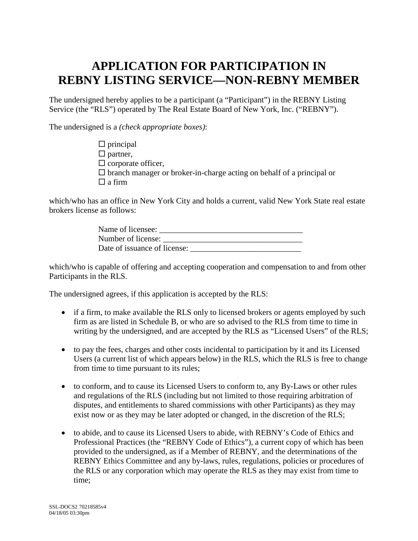# **APPLICATION FOR PARTICIPATION IN REBNY LISTING SERVICE—NON-REBNY MEMBER**

The undersigned hereby applies to be a participant (a "Participant") in the REBNY Listing Service (the "RLS") operated by The Real Estate Board of New York, Inc. ("REBNY").

The undersigned is a *(check appropriate boxes)*:

 $\Box$  principal  $\Box$  partner,  $\square$  corporate officer,  $\square$  branch manager or broker-in-charge acting on behalf of a principal or  $\Box$  a firm

which/who has an office in New York City and holds a current, valid New York State real estate brokers license as follows:

| Name of licensee:            |  |
|------------------------------|--|
| Number of license:           |  |
| Date of issuance of license: |  |

which/who is capable of offering and accepting cooperation and compensation to and from other Participants in the RLS.

The undersigned agrees, if this application is accepted by the RLS:

- if a firm, to make available the RLS only to licensed brokers or agents employed by such firm as are listed in Schedule B, or who are so advised to the RLS from time to time in writing by the undersigned, and are accepted by the RLS as "Licensed Users" of the RLS;
- to pay the fees, charges and other costs incidental to participation by it and its Licensed Users (a current list of which appears below) in the RLS, which the RLS is free to change from time to time pursuant to its rules;
- to conform, and to cause its Licensed Users to conform to, any By-Laws or other rules and regulations of the RLS (including but not limited to those requiring arbitration of disputes, and entitlements to shared commissions with other Participants) as they may exist now or as they may be later adopted or changed, in the discretion of the RLS;
- to abide, and to cause its Licensed Users to abide, with REBNY's Code of Ethics and Professional Practices (the "REBNY Code of Ethics"), a current copy of which has been provided to the undersigned, as if a Member of REBNY, and the determinations of the REBNY Ethics Committee and any by-laws, rules, regulations, policies or procedures of the RLS or any corporation which may operate the RLS as they may exist from time to time;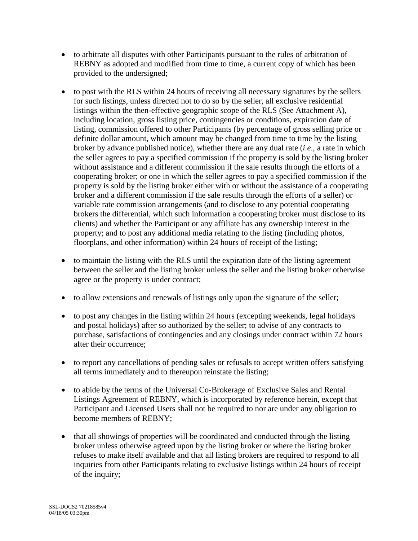- to arbitrate all disputes with other Participants pursuant to the rules of arbitration of REBNY as adopted and modified from time to time, a current copy of which has been provided to the undersigned;
- to post with the RLS within 24 hours of receiving all necessary signatures by the sellers for such listings, unless directed not to do so by the seller, all exclusive residential listings within the then-effective geographic scope of the RLS (See Attachment A), including location, gross listing price, contingencies or conditions, expiration date of listing, commission offered to other Participants (by percentage of gross selling price or definite dollar amount, which amount may be changed from time to time by the listing broker by advance published notice), whether there are any dual rate (*i.e*., a rate in which the seller agrees to pay a specified commission if the property is sold by the listing broker without assistance and a different commission if the sale results through the efforts of a cooperating broker; or one in which the seller agrees to pay a specified commission if the property is sold by the listing broker either with or without the assistance of a cooperating broker and a different commission if the sale results through the efforts of a seller) or variable rate commission arrangements (and to disclose to any potential cooperating brokers the differential, which such information a cooperating broker must disclose to its clients) and whether the Participant or any affiliate has any ownership interest in the property; and to post any additional media relating to the listing (including photos, floorplans, and other information) within 24 hours of receipt of the listing;
- to maintain the listing with the RLS until the expiration date of the listing agreement between the seller and the listing broker unless the seller and the listing broker otherwise agree or the property is under contract;
- to allow extensions and renewals of listings only upon the signature of the seller;
- to post any changes in the listing within 24 hours (excepting weekends, legal holidays and postal holidays) after so authorized by the seller; to advise of any contracts to purchase, satisfactions of contingencies and any closings under contract within 72 hours after their occurrence;
- to report any cancellations of pending sales or refusals to accept written offers satisfying all terms immediately and to thereupon reinstate the listing;
- to abide by the terms of the Universal Co-Brokerage of Exclusive Sales and Rental Listings Agreement of REBNY, which is incorporated by reference herein, except that Participant and Licensed Users shall not be required to nor are under any obligation to become members of REBNY;
- that all showings of properties will be coordinated and conducted through the listing broker unless otherwise agreed upon by the listing broker or where the listing broker refuses to make itself available and that all listing brokers are required to respond to all inquiries from other Participants relating to exclusive listings within 24 hours of receipt of the inquiry;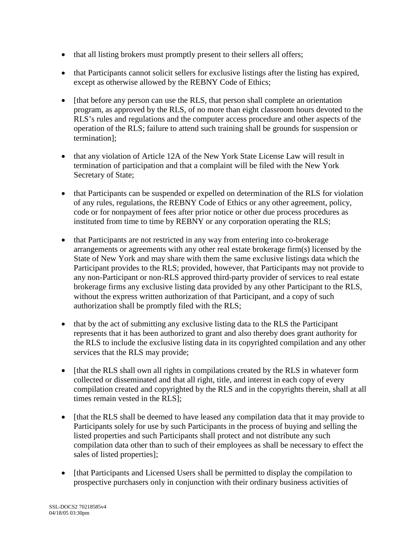- that all listing brokers must promptly present to their sellers all offers;
- that Participants cannot solicit sellers for exclusive listings after the listing has expired, except as otherwise allowed by the REBNY Code of Ethics;
- Ithat before any person can use the RLS, that person shall complete an orientation program, as approved by the RLS, of no more than eight classroom hours devoted to the RLS's rules and regulations and the computer access procedure and other aspects of the operation of the RLS; failure to attend such training shall be grounds for suspension or termination];
- that any violation of Article 12A of the New York State License Law will result in termination of participation and that a complaint will be filed with the New York Secretary of State;
- that Participants can be suspended or expelled on determination of the RLS for violation of any rules, regulations, the REBNY Code of Ethics or any other agreement, policy, code or for nonpayment of fees after prior notice or other due process procedures as instituted from time to time by REBNY or any corporation operating the RLS;
- that Participants are not restricted in any way from entering into co-brokerage arrangements or agreements with any other real estate brokerage firm(s) licensed by the State of New York and may share with them the same exclusive listings data which the Participant provides to the RLS; provided, however, that Participants may not provide to any non-Participant or non-RLS approved third-party provider of services to real estate brokerage firms any exclusive listing data provided by any other Participant to the RLS, without the express written authorization of that Participant, and a copy of such authorization shall be promptly filed with the RLS;
- that by the act of submitting any exclusive listing data to the RLS the Participant represents that it has been authorized to grant and also thereby does grant authority for the RLS to include the exclusive listing data in its copyrighted compilation and any other services that the RLS may provide;
- [that the RLS shall own all rights in compilations created by the RLS in whatever form collected or disseminated and that all right, title, and interest in each copy of every compilation created and copyrighted by the RLS and in the copyrights therein, shall at all times remain vested in the RLS];
- [that the RLS shall be deemed to have leased any compilation data that it may provide to Participants solely for use by such Participants in the process of buying and selling the listed properties and such Participants shall protect and not distribute any such compilation data other than to such of their employees as shall be necessary to effect the sales of listed properties];
- [that Participants and Licensed Users shall be permitted to display the compilation to prospective purchasers only in conjunction with their ordinary business activities of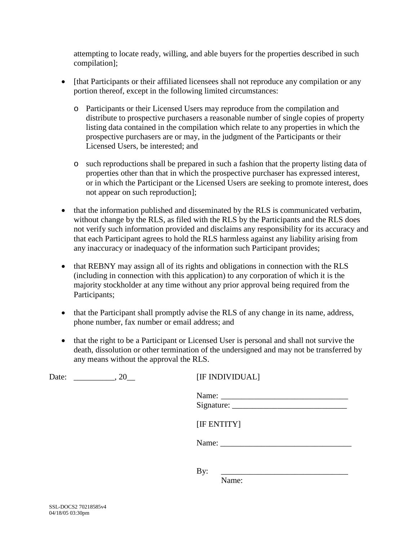attempting to locate ready, willing, and able buyers for the properties described in such compilation];

- [that Participants or their affiliated licensees shall not reproduce any compilation or any portion thereof, except in the following limited circumstances:
	- o Participants or their Licensed Users may reproduce from the compilation and distribute to prospective purchasers a reasonable number of single copies of property listing data contained in the compilation which relate to any properties in which the prospective purchasers are or may, in the judgment of the Participants or their Licensed Users, be interested; and
	- o such reproductions shall be prepared in such a fashion that the property listing data of properties other than that in which the prospective purchaser has expressed interest, or in which the Participant or the Licensed Users are seeking to promote interest, does not appear on such reproduction];
- that the information published and disseminated by the RLS is communicated verbatim, without change by the RLS, as filed with the RLS by the Participants and the RLS does not verify such information provided and disclaims any responsibility for its accuracy and that each Participant agrees to hold the RLS harmless against any liability arising from any inaccuracy or inadequacy of the information such Participant provides;
- that REBNY may assign all of its rights and obligations in connection with the RLS (including in connection with this application) to any corporation of which it is the majority stockholder at any time without any prior approval being required from the Participants;
- that the Participant shall promptly advise the RLS of any change in its name, address, phone number, fax number or email address; and
- that the right to be a Participant or Licensed User is personal and shall not survive the death, dissolution or other termination of the undersigned and may not be transferred by any means without the approval the RLS.

| Date:<br>, 20 | [IF INDIVIDUAL] |
|---------------|-----------------|
|               |                 |
|               | [IF ENTITY]     |
|               | Name:           |
|               | By:             |

Name: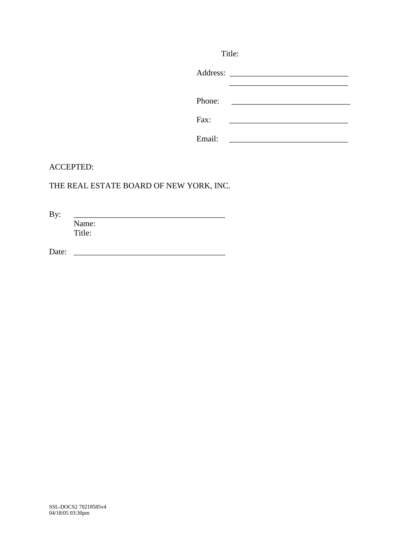|        | Title:                                                                                                                                                                                |
|--------|---------------------------------------------------------------------------------------------------------------------------------------------------------------------------------------|
|        |                                                                                                                                                                                       |
| Phone: | <u> 1980 - Jan Samuel Barbara, politik e</u> ta profesora (h. 1911).<br>1901 - Jan Sarah Barbara, politik eta politik eta politik eta politik eta politik eta politik eta politik eta |
| Fax:   |                                                                                                                                                                                       |
| Email: |                                                                                                                                                                                       |

#### ACCEPTED:

## THE REAL ESTATE BOARD OF NEW YORK, INC.

By: \_\_\_\_\_\_\_\_\_\_\_\_\_\_\_\_\_\_\_\_\_\_\_\_\_\_\_\_\_\_\_\_\_\_\_\_\_

Name: Title:

Date: \_\_\_\_\_\_\_\_\_\_\_\_\_\_\_\_\_\_\_\_\_\_\_\_\_\_\_\_\_\_\_\_\_\_\_\_\_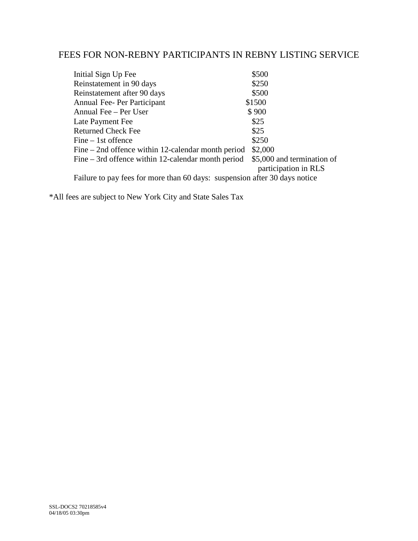## FEES FOR NON-REBNY PARTICIPANTS IN REBNY LISTING SERVICE

| Initial Sign Up Fee                                                        | \$500                                              |
|----------------------------------------------------------------------------|----------------------------------------------------|
| Reinstatement in 90 days                                                   | \$250                                              |
| Reinstatement after 90 days                                                | \$500                                              |
| Annual Fee- Per Participant                                                | \$1500                                             |
| Annual Fee – Per User                                                      | \$900                                              |
| Late Payment Fee                                                           | \$25                                               |
| <b>Returned Check Fee</b>                                                  | \$25                                               |
| Fine – 1st offence                                                         | \$250                                              |
| Fine – 2nd offence within 12-calendar month period                         | \$2,000                                            |
| Fine – 3rd offence within 12-calendar month period                         | \$5,000 and termination of<br>participation in RLS |
| Failure to pay fees for more than 60 days: suspension after 30 days notice |                                                    |
|                                                                            |                                                    |

\*All fees are subject to New York City and State Sales Tax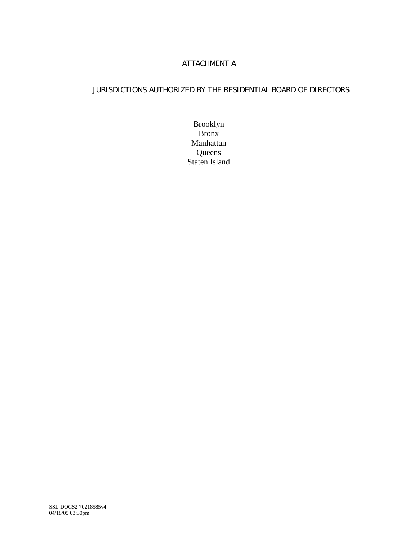### ATTACHMENT A

### JURISDICTIONS AUTHORIZED BY THE RESIDENTIAL BOARD OF DIRECTORS

Brooklyn Bronx Manhattan **Queens** Staten Island